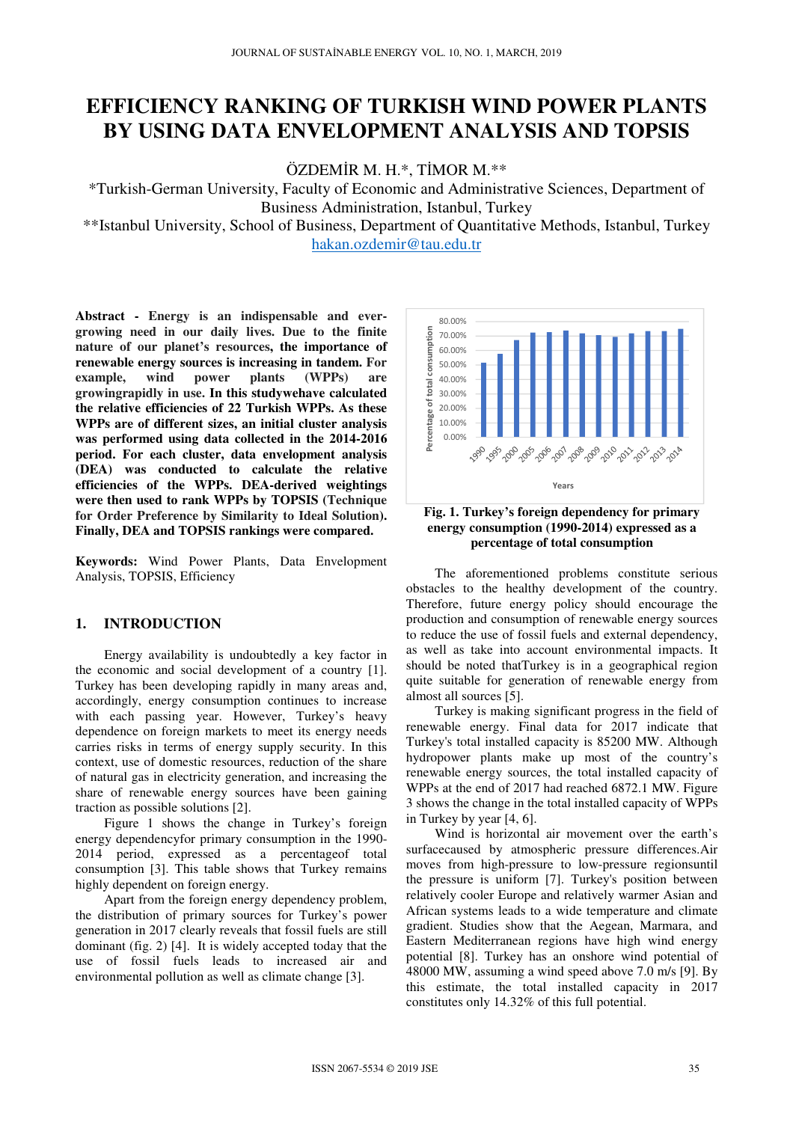# **EFFICIENCY RANKING OF TURKISH WIND POWER PLANTS BY USING DATA ENVELOPMENT ANALYSIS AND TOPSIS**

ÖZDEMİR M. H.\*, TİMOR M.\*\*

\*Turkish-German University, Faculty of Economic and Administrative Sciences, Department of Business Administration, Istanbul, Turkey

\*\*Istanbul University, School of Business, Department of Quantitative Methods, Istanbul, Turkey hakan.ozdemir@tau.edu.tr

**Abstract - Energy is an indispensable and evergrowing need in our daily lives. Due to the finite nature of our planet's resources, the importance of renewable energy sources is increasing in tandem. For example, wind power plants (WPPs) are growingrapidly in use. In this studywehave calculated the relative efficiencies of 22 Turkish WPPs. As these WPPs are of different sizes, an initial cluster analysis was performed using data collected in the 2014-2016 period. For each cluster, data envelopment analysis (DEA) was conducted to calculate the relative efficiencies of the WPPs. DEA-derived weightings were then used to rank WPPs by TOPSIS (Technique for Order Preference by Similarity to Ideal Solution). Finally, DEA and TOPSIS rankings were compared.** 

**Keywords:** Wind Power Plants, Data Envelopment Analysis, TOPSIS, Efficiency

## **1. INTRODUCTION**

Energy availability is undoubtedly a key factor in the economic and social development of a country [1]. Turkey has been developing rapidly in many areas and, accordingly, energy consumption continues to increase with each passing year. However, Turkey's heavy dependence on foreign markets to meet its energy needs carries risks in terms of energy supply security. In this context, use of domestic resources, reduction of the share of natural gas in electricity generation, and increasing the share of renewable energy sources have been gaining traction as possible solutions [2].

Figure 1 shows the change in Turkey's foreign energy dependencyfor primary consumption in the 1990- 2014 period, expressed as a percentageof total consumption [3]. This table shows that Turkey remains highly dependent on foreign energy.

Apart from the foreign energy dependency problem, the distribution of primary sources for Turkey's power generation in 2017 clearly reveals that fossil fuels are still dominant (fig. 2) [4]. It is widely accepted today that the use of fossil fuels leads to increased air and environmental pollution as well as climate change [3].





The aforementioned problems constitute serious obstacles to the healthy development of the country. Therefore, future energy policy should encourage the production and consumption of renewable energy sources to reduce the use of fossil fuels and external dependency, as well as take into account environmental impacts. It should be noted thatTurkey is in a geographical region quite suitable for generation of renewable energy from almost all sources [5].

Turkey is making significant progress in the field of renewable energy. Final data for 2017 indicate that Turkey's total installed capacity is 85200 MW. Although hydropower plants make up most of the country's renewable energy sources, the total installed capacity of WPPs at the end of 2017 had reached 6872.1 MW. Figure 3 shows the change in the total installed capacity of WPPs in Turkey by year [4, 6].

Wind is horizontal air movement over the earth's surfacecaused by atmospheric pressure differences.Air moves from high-pressure to low-pressure regionsuntil the pressure is uniform [7]. Turkey's position between relatively cooler Europe and relatively warmer Asian and African systems leads to a wide temperature and climate gradient. Studies show that the Aegean, Marmara, and Eastern Mediterranean regions have high wind energy potential [8]. Turkey has an onshore wind potential of 48000 MW, assuming a wind speed above 7.0 m/s [9]. By this estimate, the total installed capacity in 2017 constitutes only 14.32% of this full potential.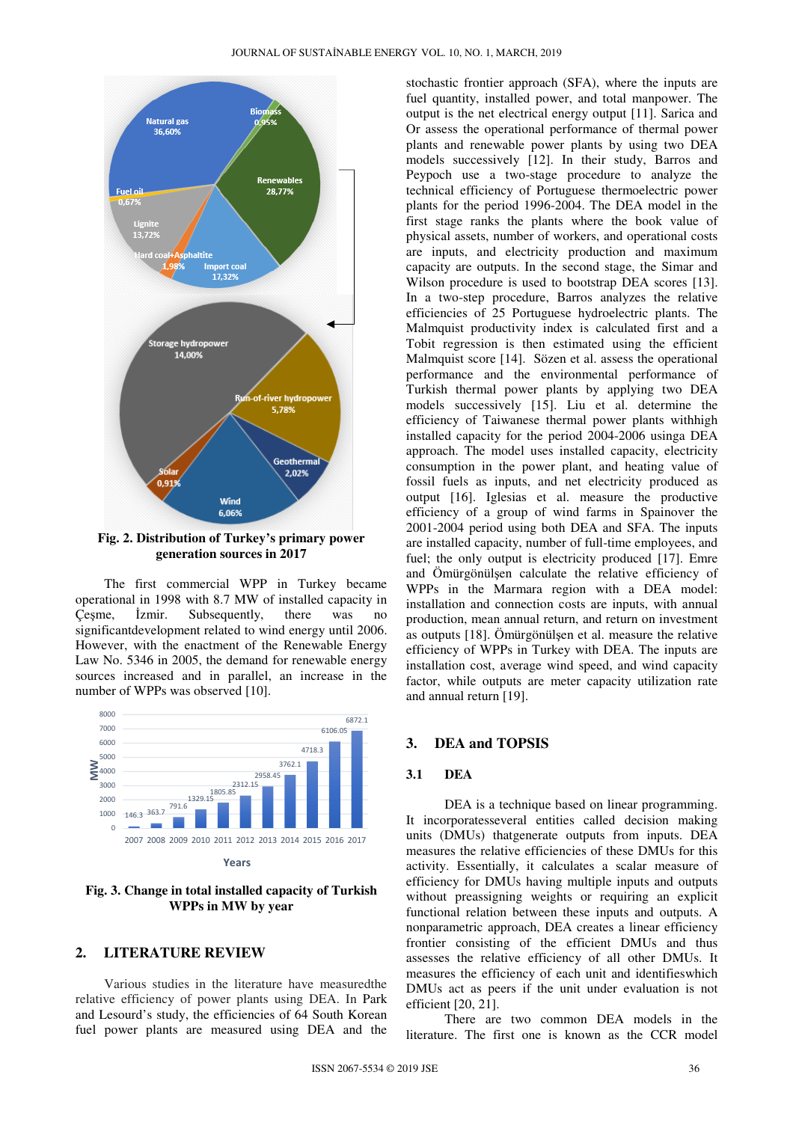

**Fig. 2. Distribution of Turkey's primary power generation sources in 2017** 

The first commercial WPP in Turkey became operational in 1998 with 8.7 MW of installed capacity in Çeşme, İzmir. Subsequently, there was no significantdevelopment related to wind energy until 2006. However, with the enactment of the Renewable Energy Law No. 5346 in 2005, the demand for renewable energy sources increased and in parallel, an increase in the number of WPPs was observed [10].



**Years**

**Fig. 3. Change in total installed capacity of Turkish WPPs in MW by year** 

#### **2. LITERATURE REVIEW**

Various studies in the literature have measuredthe relative efficiency of power plants using DEA. In Park and Lesourd's study, the efficiencies of 64 South Korean fuel power plants are measured using DEA and the

stochastic frontier approach (SFA), where the inputs are fuel quantity, installed power, and total manpower. The output is the net electrical energy output [11]. Sarica and Or assess the operational performance of thermal power plants and renewable power plants by using two DEA models successively [12]. In their study, Barros and Peypoch use a two-stage procedure to analyze the technical efficiency of Portuguese thermoelectric power plants for the period 1996-2004. The DEA model in the first stage ranks the plants where the book value of physical assets, number of workers, and operational costs are inputs, and electricity production and maximum capacity are outputs. In the second stage, the Simar and Wilson procedure is used to bootstrap DEA scores [13]. In a two-step procedure, Barros analyzes the relative efficiencies of 25 Portuguese hydroelectric plants. The Malmquist productivity index is calculated first and a Tobit regression is then estimated using the efficient Malmquist score [14]. Sözen et al. assess the operational performance and the environmental performance of Turkish thermal power plants by applying two DEA models successively [15]. Liu et al. determine the efficiency of Taiwanese thermal power plants withhigh installed capacity for the period 2004-2006 usinga DEA approach. The model uses installed capacity, electricity consumption in the power plant, and heating value of fossil fuels as inputs, and net electricity produced as output [16]. Iglesias et al. measure the productive efficiency of a group of wind farms in Spainover the 2001-2004 period using both DEA and SFA. The inputs are installed capacity, number of full-time employees, and fuel; the only output is electricity produced [17]. Emre and Ömürgönülşen calculate the relative efficiency of WPPs in the Marmara region with a DEA model: installation and connection costs are inputs, with annual production, mean annual return, and return on investment as outputs [18]. Ömürgönülşen et al. measure the relative efficiency of WPPs in Turkey with DEA. The inputs are installation cost, average wind speed, and wind capacity factor, while outputs are meter capacity utilization rate and annual return [19].

#### **3. DEA and TOPSIS**

#### **3.1 DEA**

DEA is a technique based on linear programming. It incorporatesseveral entities called decision making units (DMUs) thatgenerate outputs from inputs. DEA measures the relative efficiencies of these DMUs for this activity. Essentially, it calculates a scalar measure of efficiency for DMUs having multiple inputs and outputs without preassigning weights or requiring an explicit functional relation between these inputs and outputs. A nonparametric approach, DEA creates a linear efficiency frontier consisting of the efficient DMUs and thus assesses the relative efficiency of all other DMUs. It measures the efficiency of each unit and identifieswhich DMUs act as peers if the unit under evaluation is not efficient [20, 21].

There are two common DEA models in the literature. The first one is known as the CCR model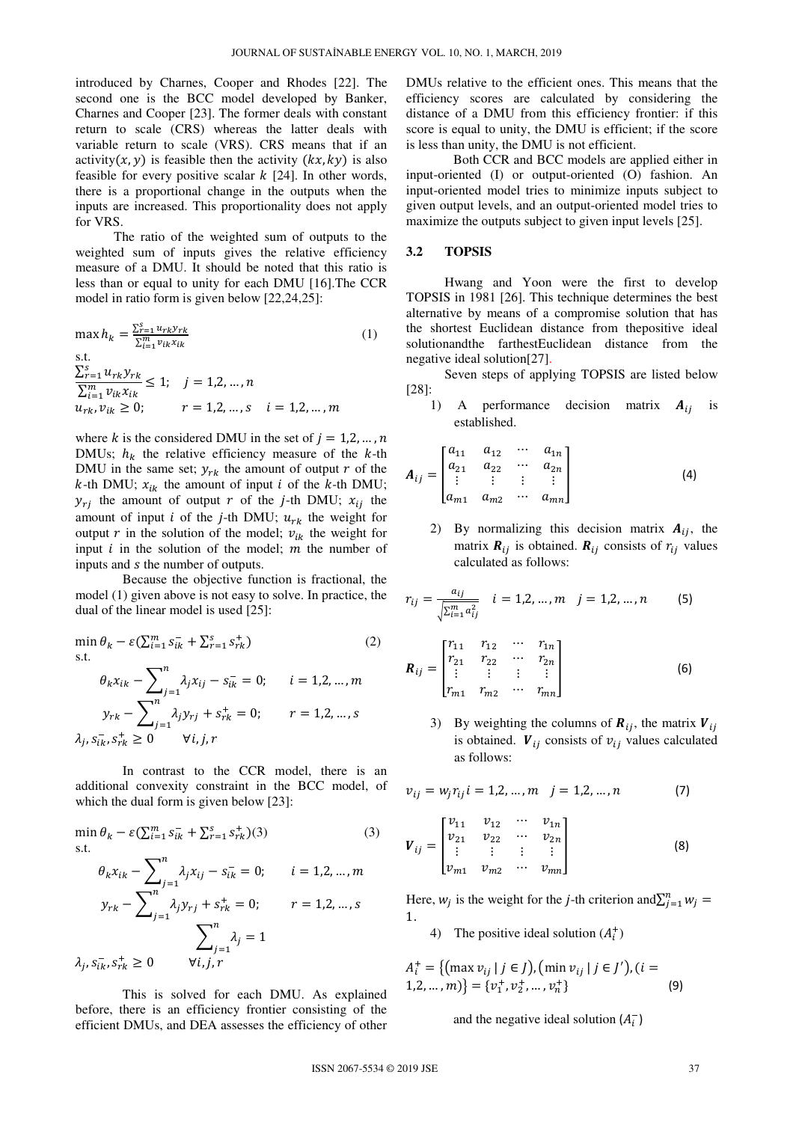introduced by Charnes, Cooper and Rhodes [22]. The second one is the BCC model developed by Banker, Charnes and Cooper [23]. The former deals with constant return to scale (CRS) whereas the latter deals with variable return to scale (VRS). CRS means that if an activity(x, y) is feasible then the activity ( $kx$ ,  $ky$ ) is also feasible for every positive scalar  $k$  [24]. In other words, there is a proportional change in the outputs when the inputs are increased. This proportionality does not apply for VRS.

The ratio of the weighted sum of outputs to the weighted sum of inputs gives the relative efficiency measure of a DMU. It should be noted that this ratio is less than or equal to unity for each DMU [16].The CCR model in ratio form is given below [22,24,25]:

$$
\max h_k = \frac{\sum_{i=1}^{S} u_{rk} y_{rk}}{\sum_{i=1}^{m} v_{ik} x_{ik}}
$$
(1)  
s.t.  

$$
\frac{\sum_{i=1}^{S} u_{rk} y_{rk}}{\sum_{i=1}^{m} v_{ik} x_{ik}} \le 1; \quad j = 1, 2, ..., n
$$
  

$$
u_{rk}, v_{ik} \ge 0; \qquad r = 1, 2, ..., s \quad i = 1, 2, ..., m
$$

where k is the considered DMU in the set of  $j = 1,2,...,n$ DMUs;  $h_k$  the relative efficiency measure of the k-th DMU in the same set;  $y_{rk}$  the amount of output r of the *k*-th DMU;  $x_{ik}$  the amount of input *i* of the *k*-th DMU;  $y_{rj}$  the amount of output r of the j-th DMU;  $x_{ij}$  the amount of input i of the j-th DMU;  $u_{rk}$  the weight for output r in the solution of the model;  $v_{ik}$  the weight for input  $i$  in the solution of the model;  $m$  the number of inputs and s the number of outputs.

Because the objective function is fractional, the model (1) given above is not easy to solve. In practice, the dual of the linear model is used [25]:

$$
\min \theta_k - \varepsilon (\sum_{i=1}^m s_{ik}^- + \sum_{r=1}^s s_{rk}^+) \tag{2}
$$
\n
$$
\text{s.t.} \quad \theta_k x_{ik} - \sum_{j=1}^n \lambda_j x_{ij} - s_{ik}^- = 0; \quad i = 1, 2, ..., m
$$
\n
$$
y_{rk} - \sum_{j=1}^n \lambda_j y_{rj} + s_{rk}^+ = 0; \quad r = 1, 2, ..., s
$$
\n
$$
\lambda_j, s_{ik}^-, s_{rk}^+ \ge 0 \quad \forall i, j, r
$$

 In contrast to the CCR model, there is an additional convexity constraint in the BCC model, of which the dual form is given below [23]:

$$
\min \theta_k - \varepsilon \left( \sum_{i=1}^m s_{ik}^- + \sum_{r=1}^s s_{rk}^+ \right) (3)
$$
\ns.t.

\n
$$
\theta_k x_{ik} - \sum_{j=1}^n \lambda_j x_{ij} - s_{ik}^- = 0; \quad i = 1, 2, ..., m
$$
\n
$$
y_{rk} - \sum_{j=1}^n \lambda_j y_{rj} + s_{rk}^+ = 0; \quad r = 1, 2, ..., s
$$
\n
$$
\sum_{j=1}^n \lambda_j = 1
$$
\n
$$
\lambda_j, s_{ik}, s_{rk}^+ \ge 0 \quad \forall i, j, r
$$
\n(3)

 This is solved for each DMU. As explained before, there is an efficiency frontier consisting of the efficient DMUs, and DEA assesses the efficiency of other DMUs relative to the efficient ones. This means that the efficiency scores are calculated by considering the distance of a DMU from this efficiency frontier: if this score is equal to unity, the DMU is efficient; if the score is less than unity, the DMU is not efficient.

 Both CCR and BCC models are applied either in input-oriented (I) or output-oriented (O) fashion. An input-oriented model tries to minimize inputs subject to given output levels, and an output-oriented model tries to maximize the outputs subject to given input levels [25].

#### **3.2 TOPSIS**

Hwang and Yoon were the first to develop TOPSIS in 1981 [26]. This technique determines the best alternative by means of a compromise solution that has the shortest Euclidean distance from thepositive ideal solutionandthe farthestEuclidean distance from the negative ideal solution[27].

Seven steps of applying TOPSIS are listed below [28]:

1) A performance decision matrix  $A_{ii}$  is established.

$$
A_{ij} = \begin{bmatrix} a_{11} & a_{12} & \cdots & a_{1n} \\ a_{21} & a_{22} & \cdots & a_{2n} \\ \vdots & \vdots & \vdots & \vdots \\ a_{m1} & a_{m2} & \cdots & a_{mn} \end{bmatrix}
$$
 (4)

2) By normalizing this decision matrix  $A_{ij}$ , the matrix  $R_{ij}$  is obtained.  $R_{ij}$  consists of  $r_{ij}$  values calculated as follows:

$$
r_{ij} = \frac{a_{ij}}{\sqrt{\sum_{i=1}^{m} a_{ij}^2}} \quad i = 1, 2, ..., m \quad j = 1, 2, ..., n \quad (5)
$$

$$
\boldsymbol{R}_{ij} = \begin{bmatrix} r_{11} & r_{12} & \cdots & r_{1n} \\ r_{21} & r_{22} & \cdots & r_{2n} \\ \vdots & \vdots & \vdots & \vdots \\ r_{m1} & r_{m2} & \cdots & r_{mn} \end{bmatrix}
$$
 (6)

3) By weighting the columns of  $\mathbf{R}_{ij}$ , the matrix  $\mathbf{V}_{ij}$ is obtained.  $V_{ij}$  consists of  $v_{ij}$  values calculated as follows:

$$
v_{ij} = w_j r_{ij} i = 1, 2, ..., m \quad j = 1, 2, ..., n \tag{7}
$$

$$
\boldsymbol{V}_{ij} = \begin{bmatrix} v_{11} & v_{12} & \cdots & v_{1n} \\ v_{21} & v_{22} & \cdots & v_{2n} \\ \vdots & \vdots & \vdots & \vdots \\ v_{m1} & v_{m2} & \cdots & v_{mn} \end{bmatrix}
$$
 (8)

Here,  $w_j$  is the weight for the *j*-th criterion and  $\sum_{j=1}^{n} w_j =$ 1.

4) The positive ideal solution  $(A_i^+)$ 

$$
A_i^+ = \{ (\max v_{ij} | j \in J), (\min v_{ij} | j \in J'), (i = 1, 2, ..., m) \} = \{v_1^+, v_2^+, ..., v_n^+\}
$$
 (9)

and the negative ideal solution  $(A_i^-)$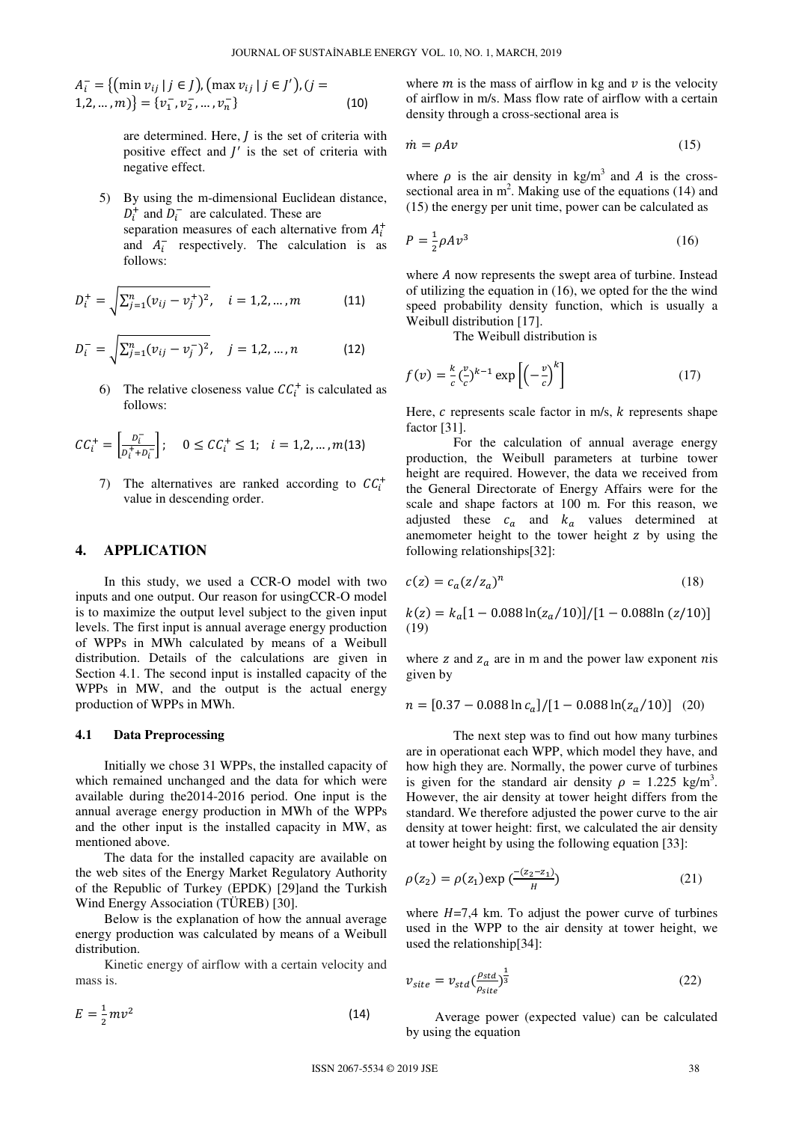$$
A_i^- = \{ (\min v_{ij} | j \in J), (\max v_{ij} | j \in J'), (j = 1, 2, ..., m) \} = \{v_1^-, v_2^-, ..., v_n^-\}
$$
 (10)

are determined. Here,  $J$  is the set of criteria with positive effect and  $J'$  is the set of criteria with negative effect.

5) By using the m-dimensional Euclidean distance,  $D_i^+$  and  $D_i^-$  are calculated. These are separation measures of each alternative from  $A_i^+$ and  $A_i^-$  respectively. The calculation is as follows:

$$
D_i^+ = \sqrt{\sum_{j=1}^n (v_{ij} - v_j^+)^2}, \quad i = 1, 2, ..., m \tag{11}
$$

$$
D_i^- = \sqrt{\sum_{j=1}^n (v_{ij} - v_j^-)^2}, \quad j = 1, 2, ..., n
$$
 (12)

6) The relative closeness value  $CC_i^+$  is calculated as follows:

$$
CC_i^+ = \left[\frac{D_i^-}{D_i^+ + D_i^-}\right]; \quad 0 \le CC_i^+ \le 1; \quad i = 1, 2, ..., m(13)
$$

7) The alternatives are ranked according to  $CC<sub>i</sub><sup>+</sup>$ value in descending order.

#### **4. APPLICATION**

In this study, we used a CCR-O model with two inputs and one output. Our reason for usingCCR-O model is to maximize the output level subject to the given input levels. The first input is annual average energy production of WPPs in MWh calculated by means of a Weibull distribution. Details of the calculations are given in Section 4.1. The second input is installed capacity of the WPPs in MW, and the output is the actual energy production of WPPs in MWh.

#### **4.1 Data Preprocessing**

Initially we chose 31 WPPs, the installed capacity of which remained unchanged and the data for which were available during the2014-2016 period. One input is the annual average energy production in MWh of the WPPs and the other input is the installed capacity in MW, as mentioned above.

The data for the installed capacity are available on the web sites of the Energy Market Regulatory Authority of the Republic of Turkey (EPDK) [29]and the Turkish Wind Energy Association (TÜREB) [30].

Below is the explanation of how the annual average energy production was calculated by means of a Weibull distribution.

Kinetic energy of airflow with a certain velocity and mass is.

$$
E = \frac{1}{2}mv^2 \tag{14}
$$

where  $m$  is the mass of airflow in kg and  $\nu$  is the velocity of airflow in m/s. Mass flow rate of airflow with a certain density through a cross-sectional area is

$$
\dot{m} = \rho A v \tag{15}
$$

where  $\rho$  is the air density in kg/m<sup>3</sup> and A is the crosssectional area in  $m^2$ . Making use of the equations (14) and (15) the energy per unit time, power can be calculated as

$$
P = \frac{1}{2}\rho A v^3 \tag{16}
$$

where  $A$  now represents the swept area of turbine. Instead of utilizing the equation in (16), we opted for the the wind speed probability density function, which is usually a Weibull distribution [17].

The Weibull distribution is

$$
f(v) = \frac{k}{c} \left(\frac{v}{c}\right)^{k-1} \exp\left[\left(-\frac{v}{c}\right)^k\right] \tag{17}
$$

Here,  $c$  represents scale factor in m/s,  $k$  represents shape factor [31].

 For the calculation of annual average energy production, the Weibull parameters at turbine tower height are required. However, the data we received from the General Directorate of Energy Affairs were for the scale and shape factors at 100 m. For this reason, we adjusted these  $c_a$  and  $k_a$  values determined at anemometer height to the tower height  $z$  by using the following relationships[32]:

$$
c(z) = c_a (z/z_a)^n
$$
 (18)

$$
k(z) = k_a[1 - 0.088 \ln(z_a/10)]/[1 - 0.088 \ln(z/10)]
$$
  
(19)

where z and  $z_a$  are in m and the power law exponent nis given by

$$
n = [0.37 - 0.088 \ln c_a]/[1 - 0.088 \ln(z_a/10)] \quad (20)
$$

The next step was to find out how many turbines are in operationat each WPP, which model they have, and how high they are. Normally, the power curve of turbines is given for the standard air density  $\rho = 1.225 \text{ kg/m}^3$ . However, the air density at tower height differs from the standard. We therefore adjusted the power curve to the air density at tower height: first, we calculated the air density at tower height by using the following equation [33]:

$$
\rho(z_2) = \rho(z_1) \exp\left(\frac{-(z_2 - z_1)}{H}\right) \tag{21}
$$

where  $H=7,4$  km. To adjust the power curve of turbines used in the WPP to the air density at tower height, we used the relationship[34]:

$$
v_{site} = v_{std} \left(\frac{\rho_{std}}{\rho_{site}}\right)^{\frac{1}{3}} \tag{22}
$$

Average power (expected value) can be calculated by using the equation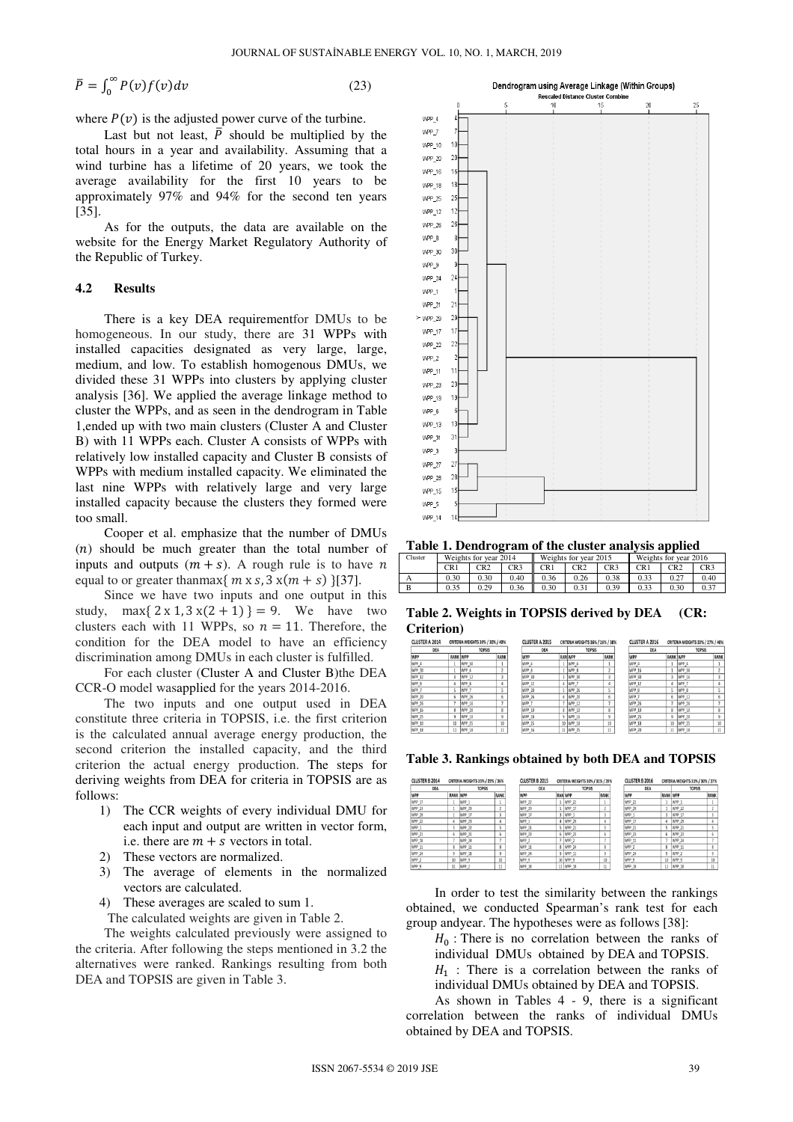$$
\bar{P} = \int_0^\infty P(v) f(v) dv
$$

$$
(23)
$$

where  $P(v)$  is the adjusted power curve of the turbine.

Last but not least,  $\overline{P}$  should be multiplied by the total hours in a year and availability. Assuming that a wind turbine has a lifetime of 20 years, we took the average availability for the first 10 years to be approximately 97% and 94% for the second ten years [35].

As for the outputs, the data are available on the website for the Energy Market Regulatory Authority of the Republic of Turkey.

#### **4.2 Results**

There is a key DEA requirementfor DMUs to be homogeneous. In our study, there are 31 WPPs with installed capacities designated as very large, large, medium, and low. To establish homogenous DMUs, we divided these 31 WPPs into clusters by applying cluster analysis [36]. We applied the average linkage method to cluster the WPPs, and as seen in the dendrogram in Table 1,ended up with two main clusters (Cluster A and Cluster B) with 11 WPPs each. Cluster A consists of WPPs with relatively low installed capacity and Cluster B consists of WPPs with medium installed capacity. We eliminated the last nine WPPs with relatively large and very large installed capacity because the clusters they formed were too small.

Cooper et al. emphasize that the number of DMUs  $(n)$  should be much greater than the total number of inputs and outputs  $(m + s)$ . A rough rule is to have n equal to or greater thanmax $\{m \times s, 3 \times (m + s)\}\$ [37].

Since we have two inputs and one output in this study, max $\{ 2 \times 1, 3 \times (2 + 1) \} = 9$ . We have two clusters each with 11 WPPs, so  $n = 11$ . Therefore, the condition for the DEA model to have an efficiency discrimination among DMUs in each cluster is fulfilled.

For each cluster (Cluster A and Cluster B)the DEA CCR-O model wasapplied for the years 2014-2016.

The two inputs and one output used in DEA constitute three criteria in TOPSIS, i.e. the first criterion is the calculated annual average energy production, the second criterion the installed capacity, and the third criterion the actual energy production. The steps for deriving weights from DEA for criteria in TOPSIS are as follows:

- 1) The CCR weights of every individual DMU for each input and output are written in vector form, i.e. there are  $m + s$  vectors in total.
- 2) These vectors are normalized.
- 3) The average of elements in the normalized vectors are calculated.
- 4) These averages are scaled to sum 1.

The calculated weights are given in Table 2.

The weights calculated previously were assigned to the criteria. After following the steps mentioned in 3.2 the alternatives were ranked. Rankings resulting from both DEA and TOPSIS are given in Table 3.



**Table 1. Dendrogram of the cluster analysis applied**

| Cluster | Weights for year 2014 |      |                 |      | Weights for year 2015 |      | Weights for year 2016 |      |                 |
|---------|-----------------------|------|-----------------|------|-----------------------|------|-----------------------|------|-----------------|
|         | CR1                   | CR2  | CR <sub>3</sub> | CR1  | CR2                   | CR3  | CR1                   | CR2  | CR <sub>3</sub> |
|         | 0.30                  | 0.30 | 0.40            | 0.36 | 0.26                  | 0.38 | 0.33                  | 0.27 | 0.40            |
| B       | 0.35                  | 0.29 | 0.36            | 0.30 | 0.31                  | 0.39 | 0.33                  | 0.30 | 0.37            |

**Table 2. Weights in TOPSIS derived by DEA (CR: Criterion)** 

| <b>CLUSTER A 2014</b> |                 | CRITERIA WEIGHTS 30% / 30% / 40% |                  |     | <b>CLUSTER A 2015</b> |               | CRITERIA WEIGHTS 36% / 26% / 38% |        |     | <b>CLUSTER A 2016</b> |                 | CRITERIA WEIGHTS 33% / 27% / 40% |        |
|-----------------------|-----------------|----------------------------------|------------------|-----|-----------------------|---------------|----------------------------------|--------|-----|-----------------------|-----------------|----------------------------------|--------|
| DEA                   |                 | <b>TOPSIS</b>                    |                  | DEA |                       | <b>TOPSIS</b> |                                  |        | DEA |                       | <b>TOPSIS</b>   |                                  |        |
| WPP                   | <b>RANK WPP</b> |                                  | RANK             |     | WPP                   |               | <b>RAN WPP</b>                   | RANK   |     | WPP                   | <b>RANK WPP</b> |                                  | RANK   |
| WPP_4                 |                 | WPP_30                           |                  |     | WPP_4                 |               | WPP <sub>4</sub>                 |        |     | WPP_4                 |                 | WPP_4                            |        |
| WPP 30                |                 | WPP_4                            |                  |     | WPP_8                 |               | WPP 8                            |        |     | WPP 16                |                 | WPP 30                           |        |
| WPP <sub>12</sub>     |                 | WPP 12                           |                  |     | WPP 30                |               | WPP 30                           |        |     | WPP 30                |                 | WPP 16                           |        |
| WPP <sub>8</sub>      |                 | WPP 8                            | 4                |     | WPP 12                |               | WPP 7                            |        |     | WPP 12                | 4               | WPP 7                            |        |
| WPP 7                 |                 | WPP 7                            |                  |     | WPP 20                |               | WPP 26                           |        |     | WPP 8                 |                 | WPP 8                            |        |
| WPP_20                | 6               | WPP 26                           | 6                |     | WPP_26                | 6             | WPP 20                           |        |     | WPP 7                 | 6               | WPP 12                           |        |
| WPP_26                |                 | WPP 16                           |                  |     | WPP_7                 |               | WPP 12                           |        |     | WPP_26                |                 | WPP 26                           |        |
| WPP_16                | 8               | WPP 20                           | 8                |     | WPP_10                |               | WPP 10                           |        |     | WPP_10                | 8               | WPP_10                           |        |
| WPP_25                | Q               | WPP 10                           | 9                |     | WPP_18                | Q             | WPP_16                           |        |     | WPP_25                | $\mathbf{Q}$    | WPP_20                           |        |
| WPP_10                | 10              | WPP_25                           | 10 <sup>10</sup> |     | WPP_25                | 10            | WPP 18                           | 10     |     | WPP_18                | 10              | WPP_25                           | 10     |
| WPP_18                | $11$            | WPP_18                           | 11               |     | WPP_16                |               | 11 WPP_25                        | $11\,$ |     | WPP_20                | 11              | WPP_18                           | $11\,$ |
|                       |                 |                                  |                  |     |                       |               |                                  |        |     |                       |                 |                                  |        |

**Table 3. Rankings obtained by both DEA and TOPSIS** 

| CLUSTER B 2014 |              | CRITERIA WEIGHTS 35% / 29% / 36% |      | <b>CLUSTER B 2015</b> |    | CRITERIA WEIGHTS 30% / 31% / 39% |      | <b>CLUSTER B 2016</b> |                 | CRITERIA WEIGHTS 33% / 30% / 37% |      |
|----------------|--------------|----------------------------------|------|-----------------------|----|----------------------------------|------|-----------------------|-----------------|----------------------------------|------|
| DEA            |              | <b>TOPSIS</b>                    |      | DEA                   |    | <b>TOPSIS</b>                    |      | DEA                   |                 | <b>TOPSIS</b>                    |      |
| <b>WPP</b>     | RANK WPP     |                                  | RANK | WPP                   |    | <b>RANWPP</b>                    | RANK | WPP                   | <b>RANK WPP</b> |                                  | RANK |
| WPP 17         |              | WPP 1                            |      | <b>WPP 22</b>         |    | <b>WPP 22</b>                    |      | <b>WPP 22</b>         |                 | WPP 1                            |      |
| <b>WPP 23</b>  |              | WPP 29                           |      | WPP 29                |    | WPP 17                           |      | WPP 29                |                 | WPP 22                           |      |
| WPP 29         |              | WPP 17                           |      | WPP_17                |    | WPP :                            |      | WPP :                 |                 | WPP 17                           |      |
| WPP 22         |              | WPP 23                           |      | WPP 1                 |    | <b>WPP 29</b>                    |      | WPP 17                | 4               | WPP 29                           |      |
| WPP:           |              | <b>WPP 22</b>                    |      | WPP_21                |    | WPP 21                           |      | WPP 21                |                 | <b>WPP 21</b>                    |      |
| WPP 21         | 6            | WPP 21                           | Б    | WPP_23                | 6  | WPP 23                           | 6    | WPP 23                | 6               | WPP 23                           | 6    |
| WPP 18         |              | WPP 24                           |      | WPP <sub>2</sub>      |    | WPP 2                            |      | WPP 11                |                 | WPP 24                           |      |
| WPP 11         | 8            | WPP 11                           | 8    | WPP 11                |    | WPP 24                           | 8    | WPP <sub>2</sub>      | g               | WPP 11                           |      |
| WPP 24         | $\mathbf{Q}$ | WPP 18                           | o    | WPP_24                | 9  | WPP 11                           | Q    | WPP 24                | 9               | WPP 2                            |      |
| WPP 2          | 10           | WPP 9                            | 10   | WPP <sub>9</sub>      | 10 | WPP 9                            | 10   | WPP <sub>9</sub>      | 10              | WPP 9                            | 10   |
| WPP 9          | 11           | WPP 2                            |      | WPP 18                | 11 | WPP 18                           |      | WPP 18                | 11              | WPP 18                           |      |

In order to test the similarity between the rankings obtained, we conducted Spearman's rank test for each group andyear. The hypotheses were as follows [38]:

 $H_0$ : There is no correlation between the ranks of individual DMUs obtained by DEA and TOPSIS.

 $H_1$ : There is a correlation between the ranks of individual DMUs obtained by DEA and TOPSIS.

As shown in Tables 4 - 9, there is a significant correlation between the ranks of individual DMUs obtained by DEA and TOPSIS.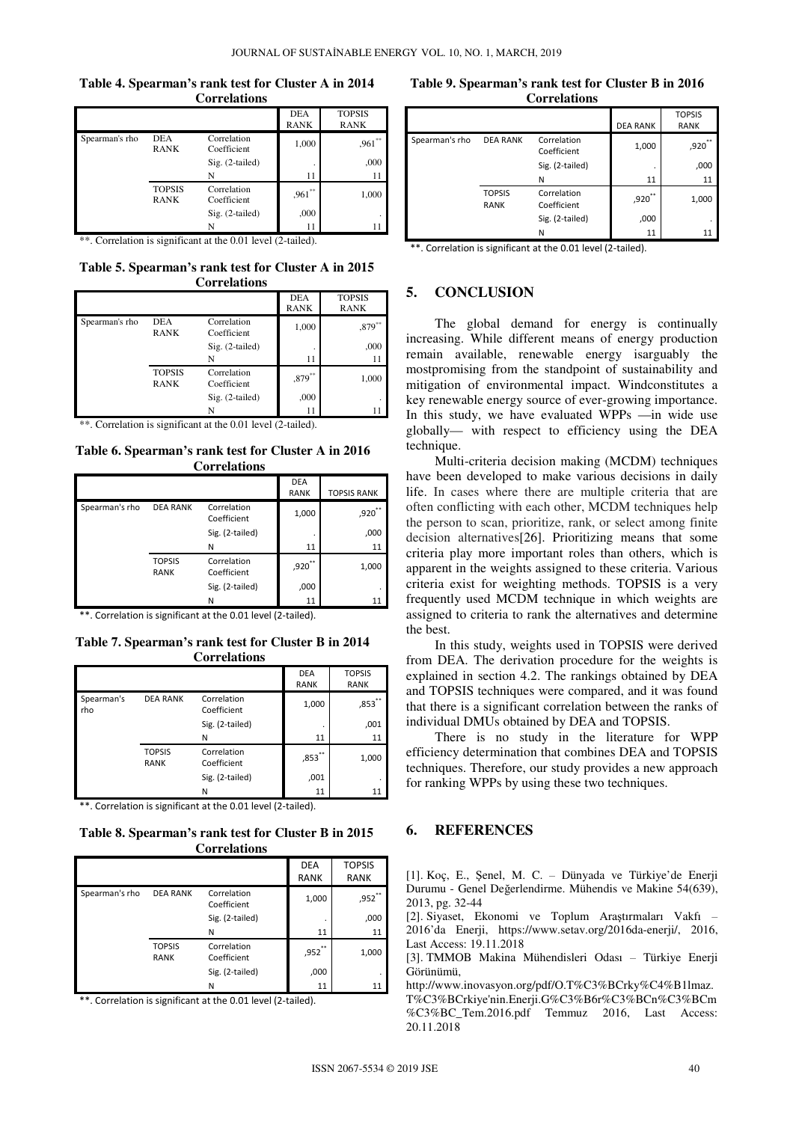**Table 4. Spearman's rank test for Cluster A in 2014 Correlations**

|                |                              |                            | <b>DEA</b><br><b>RANK</b> | <b>TOPSIS</b><br><b>RANK</b> |
|----------------|------------------------------|----------------------------|---------------------------|------------------------------|
| Spearman's rho | <b>DEA</b><br><b>RANK</b>    | Correlation<br>Coefficient | 1,000                     | $,961$ <sup>**</sup>         |
|                |                              | Sig. (2-tailed)            | ٠                         | ,000                         |
|                |                              | N                          | 11                        | 11                           |
|                | <b>TOPSIS</b><br><b>RANK</b> | Correlation<br>Coefficient | $.961**$                  | 1,000                        |
|                |                              | Sig. (2-tailed)            | ,000                      |                              |
|                |                              | N                          | 11                        |                              |

\*\*. Correlation is significant at the 0.01 level (2-tailed).

**Table 5. Spearman's rank test for Cluster A in 2015 Correlations** 

|                |                              |                            | <b>DEA</b><br><b>RANK</b> | <b>TOPSIS</b><br><b>RANK</b> |
|----------------|------------------------------|----------------------------|---------------------------|------------------------------|
| Spearman's rho | <b>DEA</b><br><b>RANK</b>    | Correlation<br>Coefficient | 1,000                     | $,879***$                    |
|                |                              | Sig. (2-tailed)            |                           | ,000                         |
|                |                              | N                          | 11                        |                              |
|                | <b>TOPSIS</b><br><b>RANK</b> | Correlation<br>Coefficient | $0.879**$                 | 1,000                        |
|                |                              | $Sig. (2-tailed)$          | ,000                      |                              |
|                |                              | N                          | 11                        |                              |

\*\*. Correlation is significant at the 0.01 level (2-tailed).

**Table 6. Spearman's rank test for Cluster A in 2016 Correlations** 

|                |                              |                            | <b>DEA</b><br><b>RANK</b> | <b>TOPSIS RANK</b> |
|----------------|------------------------------|----------------------------|---------------------------|--------------------|
| Spearman's rho | <b>DEA RANK</b>              | Correlation<br>Coefficient | 1,000                     | ,920               |
|                |                              | Sig. (2-tailed)            |                           | ,000               |
|                |                              | N                          | 11                        | 11                 |
|                | <b>TOPSIS</b><br><b>RANK</b> | Correlation<br>Coefficient | **<br>,920                | 1,000              |
|                |                              | Sig. (2-tailed)            | ,000                      |                    |
|                |                              | N                          | 11                        | 11                 |

\*\*. Correlation is significant at the 0.01 level (2-tailed).

**Table 7. Spearman's rank test for Cluster B in 2014 Correlations**

|                   |                              |                            | <b>DEA</b><br><b>RANK</b> | <b>TOPSIS</b><br><b>RANK</b> |
|-------------------|------------------------------|----------------------------|---------------------------|------------------------------|
| Spearman's<br>rho | <b>DEA RANK</b>              | Correlation<br>Coefficient | 1,000                     | ,853                         |
|                   |                              | Sig. (2-tailed)            | ٠                         | ,001                         |
|                   |                              | N                          | 11                        | 11                           |
|                   | <b>TOPSIS</b><br><b>RANK</b> | Correlation<br>Coefficient | **<br>,853                | 1,000                        |
|                   |                              | Sig. (2-tailed)            | ,001                      |                              |
|                   |                              | N                          | 11                        | 11                           |

\*\*. Correlation is significant at the 0.01 level (2-tailed).

**Table 8. Spearman's rank test for Cluster B in 2015 Correlations**

|                |                              |                            | <b>DEA</b><br><b>RANK</b> | <b>TOPSIS</b><br><b>RANK</b> |
|----------------|------------------------------|----------------------------|---------------------------|------------------------------|
| Spearman's rho | <b>DEA RANK</b>              | Correlation<br>Coefficient | 1,000                     | ,952                         |
|                |                              | Sig. (2-tailed)            | ٠                         | ,000                         |
|                |                              | N                          | 11                        | 11                           |
|                | <b>TOPSIS</b><br><b>RANK</b> | Correlation<br>Coefficient | ,952                      | 1,000                        |
|                |                              | Sig. (2-tailed)            | ,000                      |                              |
|                |                              | N                          | 11                        | 11                           |

\*\*. Correlation is significant at the 0.01 level (2-tailed).

**Table 9. Spearman's rank test for Cluster B in 2016 Correlations**

|                |                              |                            | <b>DEA RANK</b> | <b>TOPSIS</b><br><b>RANK</b> |
|----------------|------------------------------|----------------------------|-----------------|------------------------------|
| Spearman's rho | <b>DEA RANK</b>              | Correlation<br>Coefficient | 1,000           | ,920                         |
|                |                              | Sig. (2-tailed)            | ٠               | ,000                         |
|                |                              | N                          | 11              | 11                           |
|                | <b>TOPSIS</b><br><b>RANK</b> | Correlation<br>Coefficient | ,920            | 1,000                        |
|                |                              | Sig. (2-tailed)            | ,000            |                              |
|                |                              | Ν                          | 11              | 11                           |

\*\*. Correlation is significant at the 0.01 level (2-tailed).

# **5. CONCLUSION**

The global demand for energy is continually increasing. While different means of energy production remain available, renewable energy isarguably the mostpromising from the standpoint of sustainability and mitigation of environmental impact. Windconstitutes a key renewable energy source of ever-growing importance. In this study, we have evaluated WPPs —in wide use globally— with respect to efficiency using the DEA technique.

Multi-criteria decision making (MCDM) techniques have been developed to make various decisions in daily life. In cases where there are multiple criteria that are often conflicting with each other, MCDM techniques help the person to scan, prioritize, rank, or select among finite decision alternatives[26]. Prioritizing means that some criteria play more important roles than others, which is apparent in the weights assigned to these criteria. Various criteria exist for weighting methods. TOPSIS is a very frequently used MCDM technique in which weights are assigned to criteria to rank the alternatives and determine the best.

In this study, weights used in TOPSIS were derived from DEA. The derivation procedure for the weights is explained in section 4.2. The rankings obtained by DEA and TOPSIS techniques were compared, and it was found that there is a significant correlation between the ranks of individual DMUs obtained by DEA and TOPSIS.

There is no study in the literature for WPP efficiency determination that combines DEA and TOPSIS techniques. Therefore, our study provides a new approach for ranking WPPs by using these two techniques.

### **6. REFERENCES**

[1]. Koç, E., Şenel, M. C. – Dünyada ve Türkiye'de Enerji Durumu - Genel Değerlendirme. Mühendis ve Makine 54(639), 2013, pg. 32-44

[2]. Siyaset, Ekonomi ve Toplum Araştırmaları Vakfı – 2016'da Enerji, https://www.setav.org/2016da-enerji/, 2016, Last Access: 19.11.2018

[3]. TMMOB Makina Mühendisleri Odası – Türkiye Enerji Görünümü,

http://www.inovasyon.org/pdf/O.T%C3%BCrky%C4%B1lmaz.

T%C3%BCrkiye'nin.Enerji.G%C3%B6r%C3%BCn%C3%BCm %C3%BC\_Tem.2016.pdf Temmuz 2016, Last Access: 20.11.2018